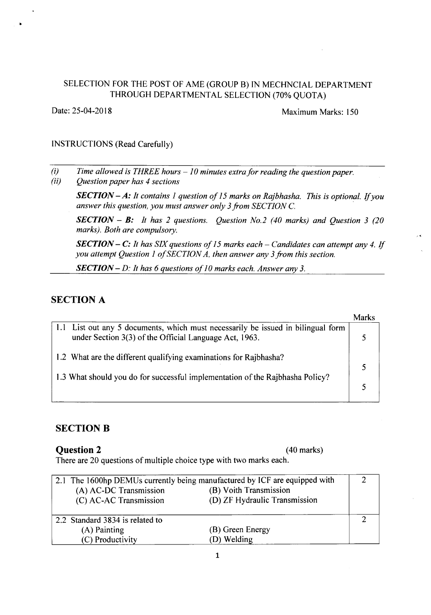#### SELECTION FOR THE POST OF AME (GROUP B) IN MECHNCIAL DEPARTMENT THROUGH DEPARTMENTAL SELECTION (70% QUOTA)

•

Date: 25-04-2018 Maximum Marks: 150

#### INSTRUCTIONS (Read Carefully)

*(i) Time allowed is THREE hours - 10 minutes extra for reading the question paper.*

*(ii) Question paper has* 4 *sections*

*SECTION - A: It contains* 1 *question of* 15 *marks on Rajbhasha. This is optional. If you answer this question, you must answer only* 3*from SECTION* C.

*SECTION - B: It has* 2 *questions. Question No.2 (40 marks) and Question* 3 *(20 marks). Both are compulsory.*

*SECTION -* C: *It has SIX questions of* 15 *marks each - Candidates can attempt any* 4. *If you attempt Question* 1*of SECTION A, then answer any* 3*from this section.*

*SECTION - D: It has* 6 *questions of* 1*0 marks each. Answer any 3.*

# **SECTION A**

| 1.1 List out any 5 documents, which must necessarily be issued in bilingual form<br>under Section 3(3) of the Official Language Act, 1963. |  |
|--------------------------------------------------------------------------------------------------------------------------------------------|--|
| 1.2 What are the different qualifying examinations for Rajbhasha?                                                                          |  |
| 1.3 What should you do for successful implementation of the Rajbhasha Policy?                                                              |  |

## **SECTION B**

#### **Question 2** (40 marks)

There are 20 questions of multiple choice type with two marks each.

|                                 | 2.1 The 1600hp DEMUs currently being manufactured by ICF are equipped with |  |
|---------------------------------|----------------------------------------------------------------------------|--|
| (A) AC-DC Transmission          | (B) Voith Transmission                                                     |  |
| (C) AC-AC Transmission          | (D) ZF Hydraulic Transmission                                              |  |
|                                 |                                                                            |  |
| 2.2 Standard 3834 is related to |                                                                            |  |
| (A) Painting                    | (B) Green Energy                                                           |  |
| (C) Productivity                | (D) Welding                                                                |  |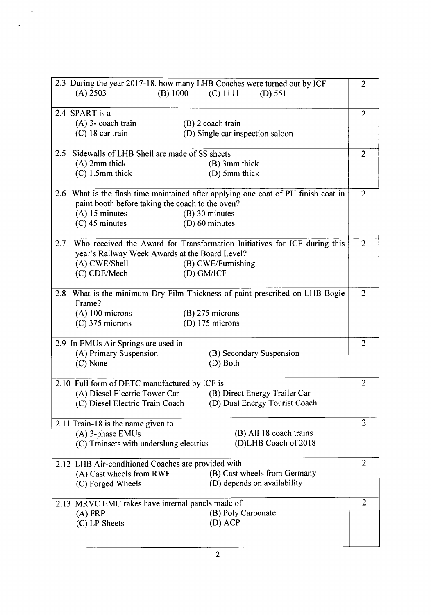|                                                  |                                                                                    | 2.3 During the year 2017-18, how many LHB Coaches were turned out by ICF    | $\overline{2}$ |
|--------------------------------------------------|------------------------------------------------------------------------------------|-----------------------------------------------------------------------------|----------------|
|                                                  | $(A)$ 2503                                                                         | (B) 1000<br>$(C)$ 1111<br>$(D)$ 551                                         |                |
|                                                  |                                                                                    |                                                                             |                |
|                                                  | 2.4 SPART is a                                                                     |                                                                             | $\overline{2}$ |
|                                                  | $(A)$ 3- coach train                                                               | $(B)$ 2 coach train                                                         |                |
|                                                  | $(C)$ 18 car train                                                                 | (D) Single car inspection saloon                                            |                |
|                                                  |                                                                                    |                                                                             |                |
| 2.5                                              | Sidewalls of LHB Shell are made of SS sheets                                       |                                                                             | $\overline{2}$ |
|                                                  |                                                                                    |                                                                             |                |
|                                                  | $(A)$ 2mm thick                                                                    | $(B)$ 3mm thick                                                             |                |
|                                                  | $(C)$ 1.5mm thick                                                                  | (D) 5mm thick                                                               |                |
|                                                  |                                                                                    |                                                                             | $\overline{2}$ |
|                                                  | 2.6 What is the flash time maintained after applying one coat of PU finish coat in |                                                                             |                |
|                                                  | paint booth before taking the coach to the oven?                                   |                                                                             |                |
|                                                  | $(A)$ 15 minutes                                                                   | $(B)$ 30 minutes                                                            |                |
|                                                  | $(C)$ 45 minutes                                                                   | $(D)$ 60 minutes                                                            |                |
|                                                  |                                                                                    |                                                                             |                |
| 2.7                                              |                                                                                    | Who received the Award for Transformation Initiatives for ICF during this   | $\overline{2}$ |
|                                                  | year's Railway Week Awards at the Board Level?                                     |                                                                             |                |
|                                                  | (A) CWE/Shell                                                                      | (B) CWE/Furnishing                                                          |                |
|                                                  | (C) CDE/Mech                                                                       | $(D)$ GM/ICF                                                                |                |
|                                                  |                                                                                    |                                                                             |                |
|                                                  |                                                                                    |                                                                             |                |
|                                                  |                                                                                    | 2.8 What is the minimum Dry Film Thickness of paint prescribed on LHB Bogie | $\overline{2}$ |
|                                                  | Frame?                                                                             |                                                                             |                |
|                                                  | $(A)$ 100 microns                                                                  | $(B)$ 275 microns                                                           |                |
|                                                  | $(C)$ 375 microns                                                                  | (D) $175$ microns                                                           |                |
|                                                  |                                                                                    |                                                                             |                |
|                                                  | 2.9 In EMUs Air Springs are used in                                                |                                                                             | $\overline{2}$ |
|                                                  | (A) Primary Suspension                                                             | (B) Secondary Suspension                                                    |                |
|                                                  | (C) None                                                                           | (D) Both                                                                    |                |
|                                                  |                                                                                    |                                                                             |                |
| 2.10 Full form of DETC manufactured by ICF is    |                                                                                    | $\overline{2}$                                                              |                |
|                                                  | (A) Diesel Electric Tower Car                                                      | (B) Direct Energy Trailer Car                                               |                |
|                                                  |                                                                                    | (D) Dual Energy Tourist Coach                                               |                |
|                                                  | (C) Diesel Electric Train Coach                                                    |                                                                             |                |
|                                                  |                                                                                    |                                                                             |                |
|                                                  | 2.11 Train-18 is the name given to                                                 |                                                                             | 2              |
|                                                  | $(A)$ 3-phase EMUs                                                                 | (B) All 18 coach trains                                                     |                |
|                                                  | (C) Trainsets with underslung electrics                                            | (D)LHB Coach of 2018                                                        |                |
|                                                  |                                                                                    |                                                                             |                |
|                                                  | 2.12 LHB Air-conditioned Coaches are provided with                                 |                                                                             | $\overline{2}$ |
|                                                  | (A) Cast wheels from RWF                                                           | (B) Cast wheels from Germany                                                |                |
|                                                  | (C) Forged Wheels                                                                  | (D) depends on availability                                                 |                |
|                                                  |                                                                                    |                                                                             |                |
| 2.13 MRVC EMU rakes have internal panels made of |                                                                                    |                                                                             | 2              |
|                                                  | $(A)$ FRP                                                                          | (B) Poly Carbonate                                                          |                |
|                                                  | (C) LP Sheets                                                                      | $(D)$ ACP                                                                   |                |
|                                                  |                                                                                    |                                                                             |                |
|                                                  |                                                                                    |                                                                             |                |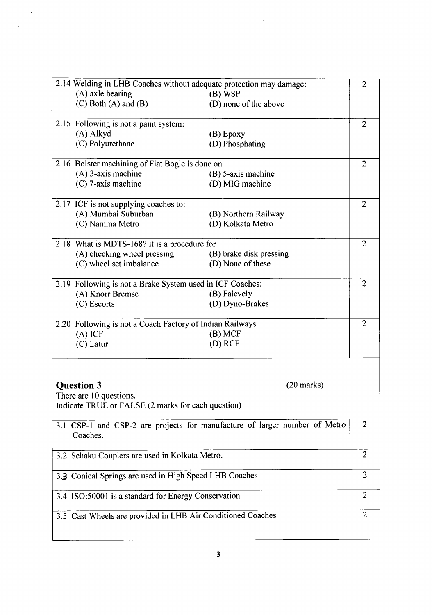| 2.14 Welding in LHB Coaches without adequate protection may damage:<br>$\overline{2}$  |                         |                |
|----------------------------------------------------------------------------------------|-------------------------|----------------|
| $(A)$ axle bearing                                                                     | (B) WSP                 |                |
| $(C)$ Both $(A)$ and $(B)$                                                             | (D) none of the above   |                |
| 2.15 Following is not a paint system:                                                  |                         | $\overline{2}$ |
| (A) Alkyd                                                                              | $(B)$ Epoxy             |                |
| (C) Polyurethane                                                                       | (D) Phosphating         |                |
| 2.16 Bolster machining of Fiat Bogie is done on                                        |                         | $\overline{2}$ |
| $(A)$ 3-axis machine                                                                   | (B) 5-axis machine      |                |
| (C) 7-axis machine                                                                     | (D) MIG machine         |                |
| 2.17 ICF is not supplying coaches to:                                                  |                         | $\overline{2}$ |
| (A) Mumbai Suburban                                                                    | (B) Northern Railway    |                |
| (C) Namma Metro                                                                        | (D) Kolkata Metro       |                |
| 2.18 What is MDTS-168? It is a procedure for                                           |                         | $\overline{2}$ |
| (A) checking wheel pressing                                                            | (B) brake disk pressing |                |
| (C) wheel set imbalance                                                                | (D) None of these       |                |
| 2.19 Following is not a Brake System used in ICF Coaches:                              |                         | $\overline{c}$ |
| (A) Knorr Bremse                                                                       | (B) Faievely            |                |
| (C) Escorts                                                                            | (D) Dyno-Brakes         |                |
| 2.20 Following is not a Coach Factory of Indian Railways                               |                         | $\overline{2}$ |
| $(A)$ ICF                                                                              | (B) MCF                 |                |
| (C) Latur                                                                              | $(D)$ RCF               |                |
|                                                                                        |                         |                |
| <b>Question 3</b>                                                                      | $(20 \text{ marks})$    |                |
| There are 10 questions.                                                                |                         |                |
| Indicate TRUE or FALSE (2 marks for each question)                                     |                         |                |
| 3.1 CSP-1 and CSP-2 are projects for manufacture of larger number of Metro<br>Coaches. |                         | $\overline{2}$ |
|                                                                                        |                         |                |
| 3.2 Schaku Couplers are used in Kolkata Metro.                                         |                         | $\overline{2}$ |
| 3.3 Conical Springs are used in High Speed LHB Coaches                                 |                         | $\overline{2}$ |
| 3.4 ISO:50001 is a standard for Energy Conservation                                    |                         | $\overline{2}$ |
| 3.5 Cast Wheels are provided in LHB Air Conditioned Coaches                            |                         | $\overline{2}$ |
|                                                                                        |                         |                |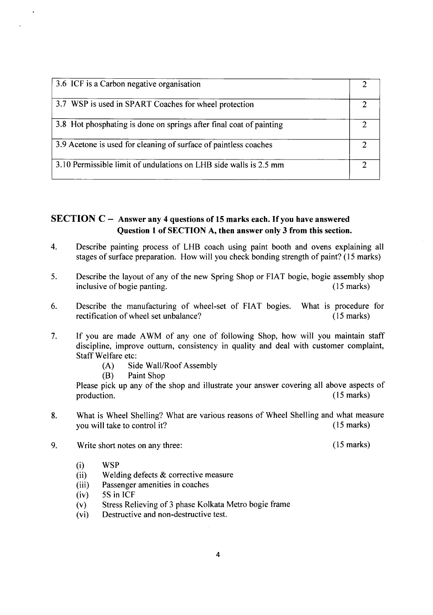| 3.6 ICF is a Carbon negative organisation                           |  |
|---------------------------------------------------------------------|--|
| 3.7 WSP is used in SPART Coaches for wheel protection               |  |
| 3.8 Hot phosphating is done on springs after final coat of painting |  |
| 3.9 Acetone is used for cleaning of surface of paintless coaches    |  |
| 3.10 Permissible limit of undulations on LHB side walls is 2.5 mm   |  |

## SECTION  $C -$  Answer any 4 questions of 15 marks each. If you have answered Question 1 of SECTION A, then answer only 3 from this section.

- 4. Describe painting process of LHB coach using paint booth and ovens explaining all stages of surface preparation. How will you check bonding strength of paint? (15 marks)
- 5. Describe the layout of any of the new Spring Shop or FIAT bogie, bogie assembly shop inclusive of bogie panting. (15 marks) inclusive of bogie panting.
- 6. Describe the manufacturing of wheel-set of FIAT bogies. rectification of wheel set unbalance? What is procedure for (15 marks)
- 7. If you are made AWM of any one of following Shop, how will you maintain staff discipline, improve outturn, consistency in quality and deal with customer complaint, Staff Welfare etc:
	- (A) Side Wall/Roof Assembly

(B) Paint Shop

Please pick up any of the shop and illustrate your answer covering all above aspects of production. (15 marks)

- 8. What is Wheel Shelling? What are various reasons of Wheel Shelling and what measure you will take to control it? (15 marks)
- 9. Write short notes on any three: (15 marks)
	- (i) WSP
	- (ii) Welding defects & corrective measure
	- (iii) Passenger amenities in coaches
	- (iv) 5S in ICF
	- (v) Stress Relieving of 3 phase Kolkata Metro bogie frame
	- (vi) Destructive and non-destructive test.